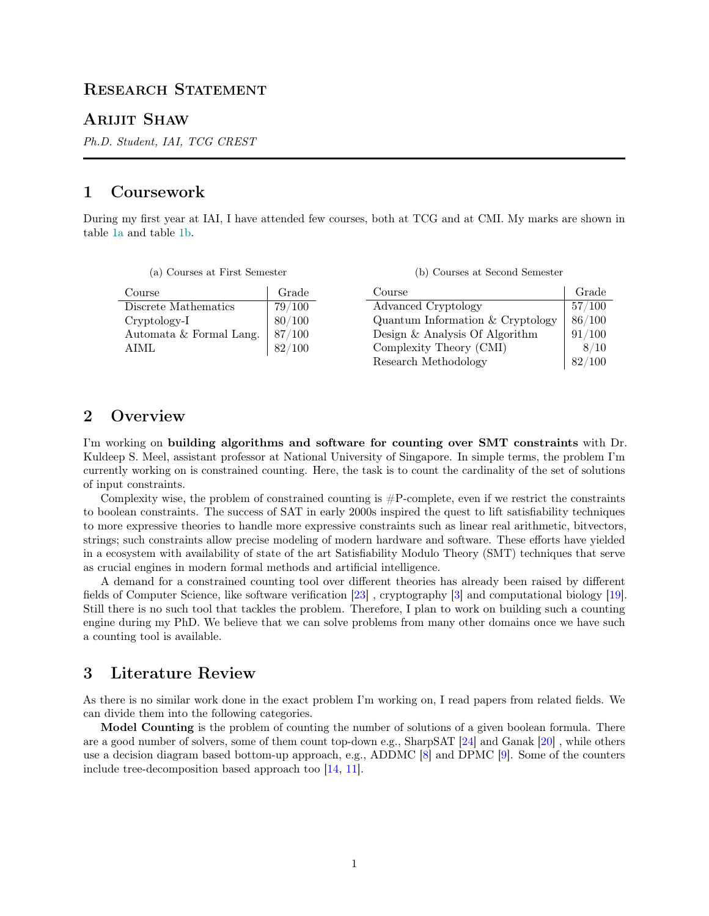# RESEARCH STATEMENT

### Arijit Shaw

Ph.D. Student, IAI, TCG CREST

# 1 Coursework

During my first year at IAI, I have attended few courses, both at TCG and at CMI. My marks are shown in table [1a](#page-0-0) and table [1b.](#page-0-0)

|  |  |  |  | (a) Courses at First Semester |
|--|--|--|--|-------------------------------|
|--|--|--|--|-------------------------------|

(b) Courses at Second Semester

<span id="page-0-0"></span>

| Course                  | Grade  | Course                             | Grade  |
|-------------------------|--------|------------------------------------|--------|
| Discrete Mathematics    | 79/100 | Advanced Cryptology                | 57/100 |
| $Cryptology-I$          | 80/100 | Quantum Information $&$ Cryptology | 86/100 |
| Automata & Formal Lang. | 87/100 | Design $\&$ Analysis Of Algorithm  | 91/100 |
| AIML                    | 82/100 | Complexity Theory (CMI)            | 8/10   |
|                         |        | Research Methodology               | 82/100 |

## 2 Overview

I'm working on building algorithms and software for counting over SMT constraints with Dr. Kuldeep S. Meel, assistant professor at National University of Singapore. In simple terms, the problem I'm currently working on is constrained counting. Here, the task is to count the cardinality of the set of solutions of input constraints.

Complexity wise, the problem of constrained counting is  $\#P$ -complete, even if we restrict the constraints to boolean constraints. The success of SAT in early 2000s inspired the quest to lift satisfiability techniques to more expressive theories to handle more expressive constraints such as linear real arithmetic, bitvectors, strings; such constraints allow precise modeling of modern hardware and software. These efforts have yielded in a ecosystem with availability of state of the art Satisfiability Modulo Theory (SMT) techniques that serve as crucial engines in modern formal methods and artificial intelligence.

A demand for a constrained counting tool over different theories has already been raised by different fields of Computer Science, like software verification [\[23\]](#page-3-0) , cryptography [\[3\]](#page-2-0) and computational biology [\[19\]](#page-3-1). Still there is no such tool that tackles the problem. Therefore, I plan to work on building such a counting engine during my PhD. We believe that we can solve problems from many other domains once we have such a counting tool is available.

# 3 Literature Review

As there is no similar work done in the exact problem I'm working on, I read papers from related fields. We can divide them into the following categories.

Model Counting is the problem of counting the number of solutions of a given boolean formula. There are a good number of solvers, some of them count top-down e.g., SharpSAT [\[24\]](#page-3-2) and Ganak [\[20\]](#page-3-3) , while others use a decision diagram based bottom-up approach, e.g., ADDMC [\[8\]](#page-2-1) and DPMC [\[9\]](#page-2-2). Some of the counters include tree-decomposition based approach too [\[14,](#page-2-3) [11\]](#page-2-4).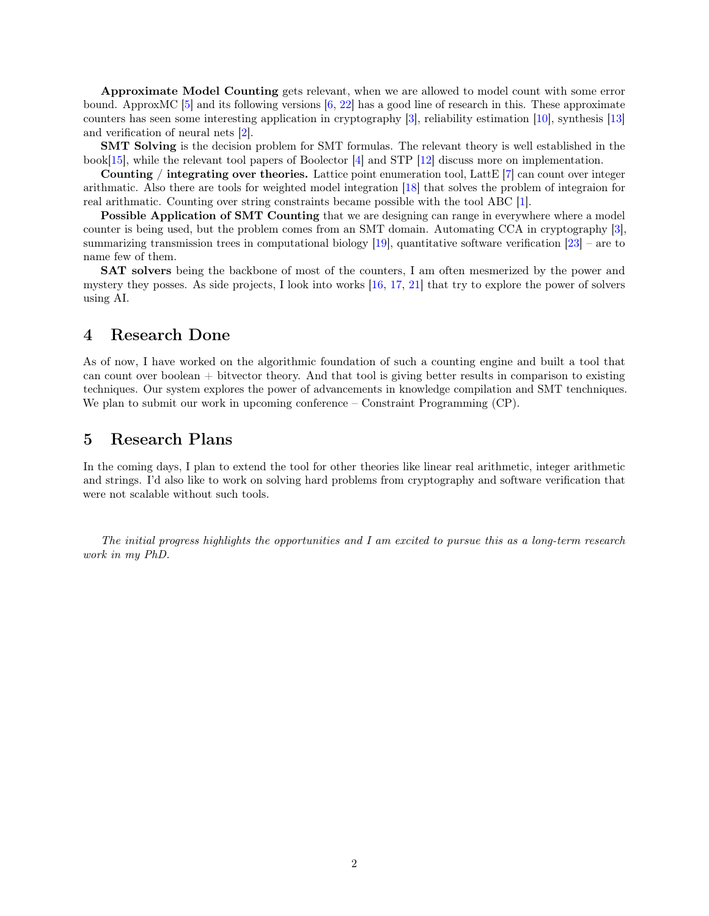Approximate Model Counting gets relevant, when we are allowed to model count with some error bound. ApproxMC [\[5\]](#page-2-5) and its following versions [\[6,](#page-2-6) [22\]](#page-3-4) has a good line of research in this. These approximate counters has seen some interesting application in cryptography [\[3\]](#page-2-0), reliability estimation [\[10\]](#page-2-7), synthesis [\[13\]](#page-2-8) and verification of neural nets [\[2\]](#page-2-9).

SMT Solving is the decision problem for SMT formulas. The relevant theory is well established in the book[\[15\]](#page-2-10), while the relevant tool papers of Boolector [\[4\]](#page-2-11) and STP [\[12\]](#page-2-12) discuss more on implementation.

**Counting** / integrating over theories. Lattice point enumeration tool, Latte  $[7]$  can count over integer arithmatic. Also there are tools for weighted model integration [\[18\]](#page-3-5) that solves the problem of integraion for real arithmatic. Counting over string constraints became possible with the tool ABC [\[1\]](#page-2-14).

Possible Application of SMT Counting that we are designing can range in everywhere where a model counter is being used, but the problem comes from an SMT domain. Automating CCA in cryptography [\[3\]](#page-2-0), summarizing transmission trees in computational biology [\[19\]](#page-3-1), quantitative software verification [\[23\]](#page-3-0) – are to name few of them.

SAT solvers being the backbone of most of the counters, I am often mesmerized by the power and mystery they posses. As side projects, I look into works [\[16,](#page-2-15) [17,](#page-3-6) [21\]](#page-3-7) that try to explore the power of solvers using AI.

# 4 Research Done

As of now, I have worked on the algorithmic foundation of such a counting engine and built a tool that can count over boolean  $+$  bitvector theory. And that tool is giving better results in comparison to existing techniques. Our system explores the power of advancements in knowledge compilation and SMT tenchniques. We plan to submit our work in upcoming conference – Constraint Programming (CP).

#### 5 Research Plans

In the coming days, I plan to extend the tool for other theories like linear real arithmetic, integer arithmetic and strings. I'd also like to work on solving hard problems from cryptography and software verification that were not scalable without such tools.

The initial progress highlights the opportunities and I am excited to pursue this as a long-term research work in my PhD.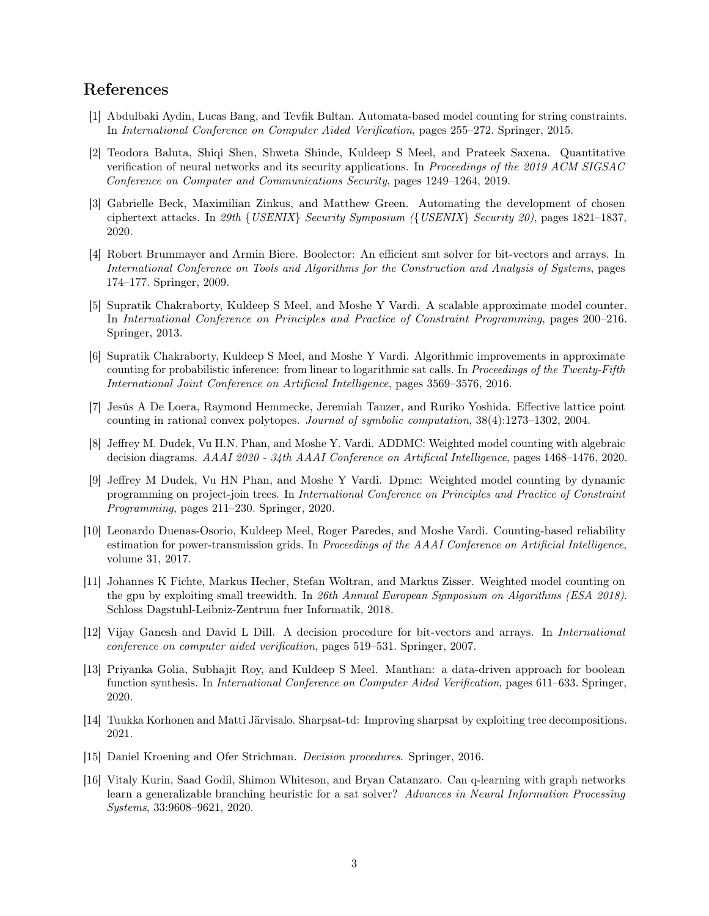# References

- <span id="page-2-14"></span>[1] Abdulbaki Aydin, Lucas Bang, and Tevfik Bultan. Automata-based model counting for string constraints. In International Conference on Computer Aided Verification, pages 255–272. Springer, 2015.
- <span id="page-2-9"></span>[2] Teodora Baluta, Shiqi Shen, Shweta Shinde, Kuldeep S Meel, and Prateek Saxena. Quantitative verification of neural networks and its security applications. In Proceedings of the 2019 ACM SIGSAC Conference on Computer and Communications Security, pages 1249–1264, 2019.
- <span id="page-2-0"></span>[3] Gabrielle Beck, Maximilian Zinkus, and Matthew Green. Automating the development of chosen ciphertext attacks. In 29th {USENIX} Security Symposium ({USENIX} Security 20), pages 1821–1837, 2020.
- <span id="page-2-11"></span>[4] Robert Brummayer and Armin Biere. Boolector: An efficient smt solver for bit-vectors and arrays. In International Conference on Tools and Algorithms for the Construction and Analysis of Systems, pages 174–177. Springer, 2009.
- <span id="page-2-5"></span>[5] Supratik Chakraborty, Kuldeep S Meel, and Moshe Y Vardi. A scalable approximate model counter. In International Conference on Principles and Practice of Constraint Programming, pages 200–216. Springer, 2013.
- <span id="page-2-6"></span>[6] Supratik Chakraborty, Kuldeep S Meel, and Moshe Y Vardi. Algorithmic improvements in approximate counting for probabilistic inference: from linear to logarithmic sat calls. In Proceedings of the Twenty-Fifth International Joint Conference on Artificial Intelligence, pages 3569–3576, 2016.
- <span id="page-2-13"></span>[7] Jesús A De Loera, Raymond Hemmecke, Jeremiah Tauzer, and Ruriko Yoshida. Effective lattice point counting in rational convex polytopes. Journal of symbolic computation, 38(4):1273–1302, 2004.
- <span id="page-2-1"></span>[8] Jeffrey M. Dudek, Vu H.N. Phan, and Moshe Y. Vardi. ADDMC: Weighted model counting with algebraic decision diagrams. AAAI 2020 - 34th AAAI Conference on Artificial Intelligence, pages 1468–1476, 2020.
- <span id="page-2-2"></span>[9] Jeffrey M Dudek, Vu HN Phan, and Moshe Y Vardi. Dpmc: Weighted model counting by dynamic programming on project-join trees. In International Conference on Principles and Practice of Constraint Programming, pages 211–230. Springer, 2020.
- <span id="page-2-7"></span>[10] Leonardo Duenas-Osorio, Kuldeep Meel, Roger Paredes, and Moshe Vardi. Counting-based reliability estimation for power-transmission grids. In Proceedings of the AAAI Conference on Artificial Intelligence, volume 31, 2017.
- <span id="page-2-4"></span>[11] Johannes K Fichte, Markus Hecher, Stefan Woltran, and Markus Zisser. Weighted model counting on the gpu by exploiting small treewidth. In 26th Annual European Symposium on Algorithms (ESA 2018). Schloss Dagstuhl-Leibniz-Zentrum fuer Informatik, 2018.
- <span id="page-2-12"></span>[12] Vijay Ganesh and David L Dill. A decision procedure for bit-vectors and arrays. In International conference on computer aided verification, pages 519–531. Springer, 2007.
- <span id="page-2-8"></span>[13] Priyanka Golia, Subhajit Roy, and Kuldeep S Meel. Manthan: a data-driven approach for boolean function synthesis. In International Conference on Computer Aided Verification, pages 611–633. Springer, 2020.
- <span id="page-2-3"></span>[14] Tuukka Korhonen and Matti Järvisalo. Sharpsat-td: Improving sharpsat by exploiting tree decompositions. 2021.
- <span id="page-2-10"></span>[15] Daniel Kroening and Ofer Strichman. Decision procedures. Springer, 2016.
- <span id="page-2-15"></span>[16] Vitaly Kurin, Saad Godil, Shimon Whiteson, and Bryan Catanzaro. Can q-learning with graph networks learn a generalizable branching heuristic for a sat solver? Advances in Neural Information Processing Systems, 33:9608–9621, 2020.